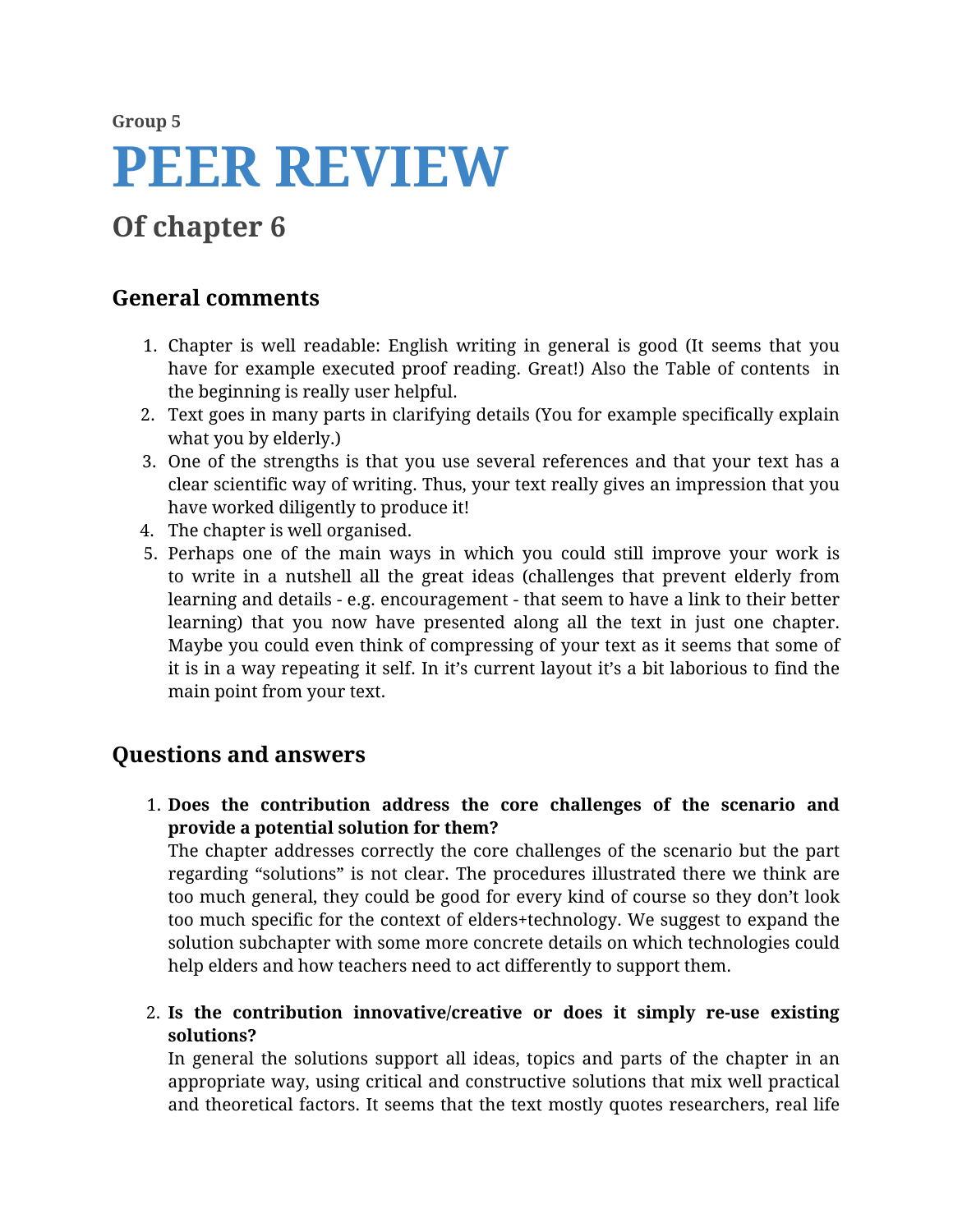# **Group 5 PEER REVIEW**

# **Of chapter 6**

## **General comments**

- 1. Chapter is well readable: English writing in general is good (It seems that you have for example executed proof reading. Great!) Also the Table of contents in the beginning is really user helpful.
- 2. Text goes in many parts in clarifying details (You for example specifically explain what you by elderly.)
- 3. One of the strengths is that you use several references and that your text has a clear scientific way of writing. Thus, your text really gives an impression that you have worked diligently to produce it!
- 4. The chapter is well organised.
- 5. Perhaps one of the main ways in which you could still improve your work is to write in a nutshell all the great ideas (challenges that prevent elderly from learning and details - e.g. encouragement - that seem to have a link to their better learning) that you now have presented along all the text in just one chapter. Maybe you could even think of compressing of your text as it seems that some of it is in a way repeating it self. In it's current layout it's a bit laborious to find the main point from your text.

### **Questions and answers**

1. **Does the contribution address the core challenges of the scenario and provide a potential solution for them?**

The chapter addresses correctly the core challenges of the scenario but the part regarding "solutions" is not clear. The procedures illustrated there we think are too much general, they could be good for every kind of course so they don't look too much specific for the context of elders+technology. We suggest to expand the solution subchapter with some more concrete details on which technologies could help elders and how teachers need to act differently to support them.

2. **Is the contribution innovative/creative or does it simply re-use existing solutions?**

In general the solutions support all ideas, topics and parts of the chapter in an appropriate way, using critical and constructive solutions that mix well practical and theoretical factors. It seems that the text mostly quotes researchers, real life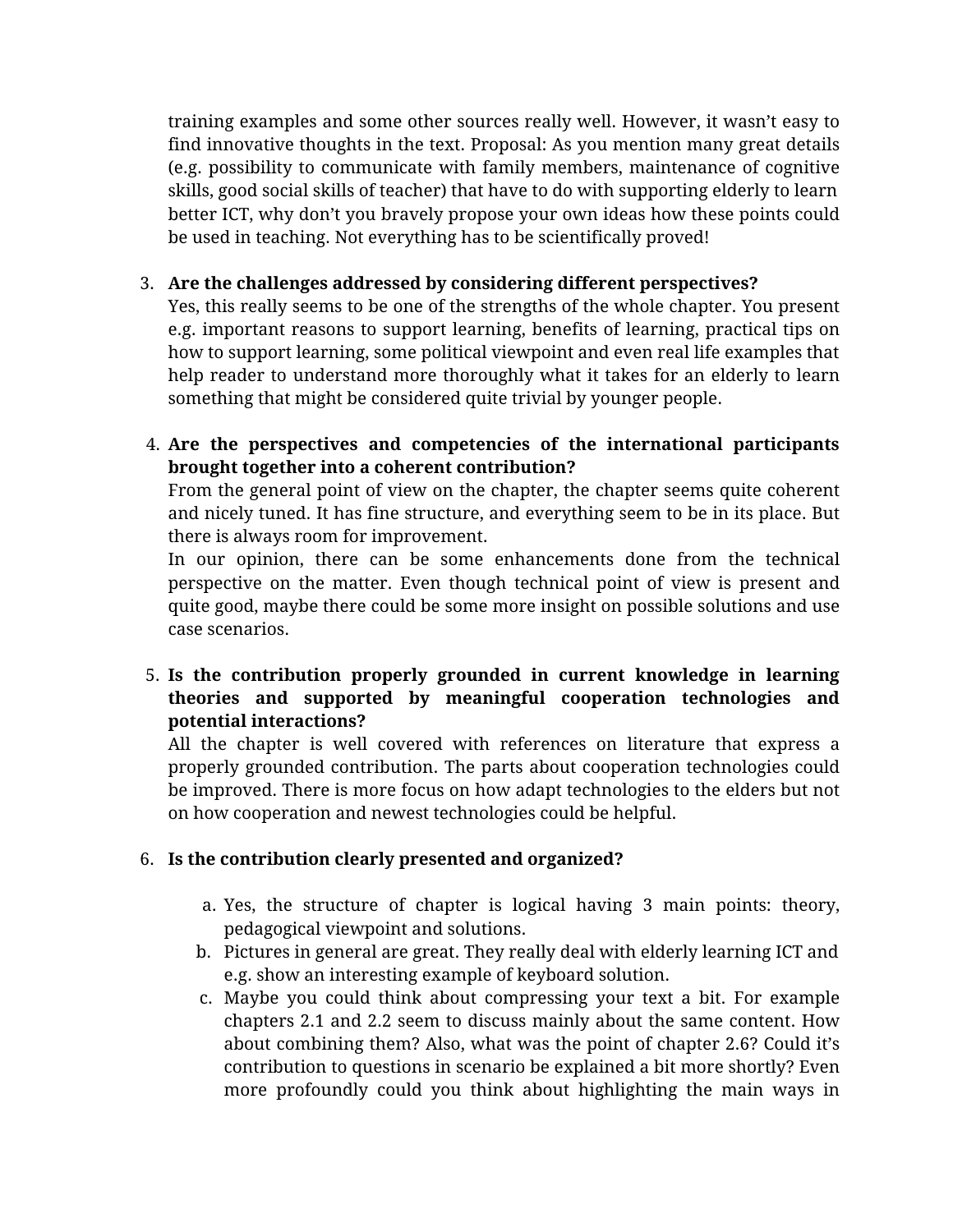training examples and some other sources really well. However, it wasn't easy to find innovative thoughts in the text. Proposal: As you mention many great details (e.g. possibility to communicate with family members, maintenance of cognitive skills, good social skills of teacher) that have to do with supporting elderly to learn better ICT, why don't you bravely propose your own ideas how these points could be used in teaching. Not everything has to be scientifically proved!

#### 3. **Are the challenges addressed by considering different perspectives?**

Yes, this really seems to be one of the strengths of the whole chapter. You present e.g. important reasons to support learning, benefits of learning, practical tips on how to support learning, some political viewpoint and even real life examples that help reader to understand more thoroughly what it takes for an elderly to learn something that might be considered quite trivial by younger people.

4. **Are the perspectives and competencies of the international participants brought together into a coherent contribution?**

From the general point of view on the chapter, the chapter seems quite coherent and nicely tuned. It has fine structure, and everything seem to be in its place. But there is always room for improvement.

In our opinion, there can be some enhancements done from the technical perspective on the matter. Even though technical point of view is present and quite good, maybe there could be some more insight on possible solutions and use case scenarios.

#### 5. **Is the contribution properly grounded in current knowledge in learning theories and supported by meaningful cooperation technologies and potential interactions?**

All the chapter is well covered with references on literature that express a properly grounded contribution. The parts about cooperation technologies could be improved. There is more focus on how adapt technologies to the elders but not on how cooperation and newest technologies could be helpful.

#### 6. **Is the contribution clearly presented and organized?**

- a. Yes, the structure of chapter is logical having 3 main points: theory, pedagogical viewpoint and solutions.
- b. Pictures in general are great. They really deal with elderly learning ICT and e.g. show an interesting example of keyboard solution.
- c. Maybe you could think about compressing your text a bit. For example chapters 2.1 and 2.2 seem to discuss mainly about the same content. How about combining them? Also, what was the point of chapter 2.6? Could it's contribution to questions in scenario be explained a bit more shortly? Even more profoundly could you think about highlighting the main ways in